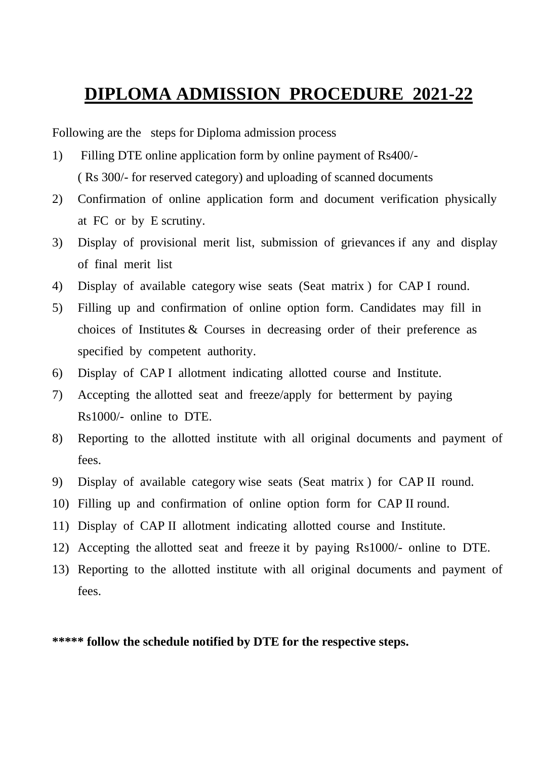## **DIPLOMA ADMISSION PROCEDURE 2021-22**

Following are the steps for Diploma admission process

- 1) Filling DTE online application form by online payment of Rs400/- ( Rs 300/- for reserved category) and uploading of scanned documents
- 2) Confirmation of online application form and document verification physically at FC or by E scrutiny.
- 3) Display of provisional merit list, submission of grievances if any and display of final merit list
- 4) Display of available category wise seats (Seat matrix ) for CAP I round.
- 5) Filling up and confirmation of online option form. Candidates may fill in choices of Institutes & Courses in decreasing order of their preference as specified by competent authority.
- 6) Display of CAP I allotment indicating allotted course and Institute.
- 7) Accepting the allotted seat and freeze/apply for betterment by paying Rs1000/- online to DTE.
- 8) Reporting to the allotted institute with all original documents and payment of fees.
- 9) Display of available category wise seats (Seat matrix ) for CAP II round.
- 10) Filling up and confirmation of online option form for CAP II round.
- 11) Display of CAP II allotment indicating allotted course and Institute.
- 12) Accepting the allotted seat and freeze it by paying Rs1000/- online to DTE.
- 13) Reporting to the allotted institute with all original documents and payment of fees.

**\*\*\*\*\* follow the schedule notified by DTE for the respective steps.**